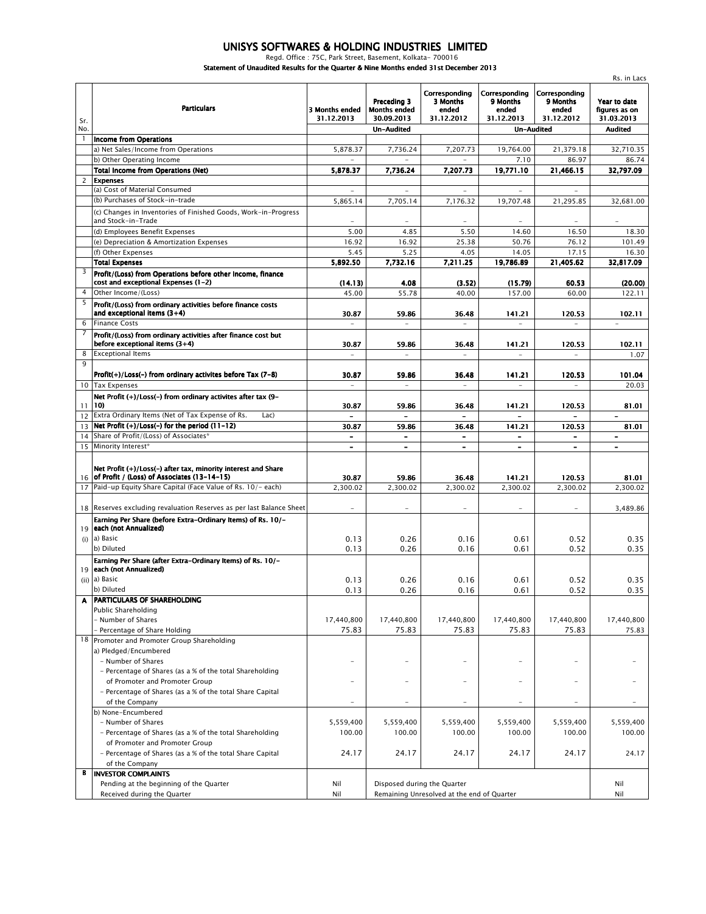## *UNISYS SOFTWARES & HOLDING INDUSTRIES LIMITED Regd. Office : 75C, Park Street, Basement, Kolkata- 700016*

*Statement of Unaudited Results for the Quarter & Nine Months ended 31st December 2013*

|             | Unaugucu Results für the Quarter & Nine Munths enged 313t December 20                                        |                                                          |                                                  |                                                  |                                                  |                                                      |                                             |  |  |
|-------------|--------------------------------------------------------------------------------------------------------------|----------------------------------------------------------|--------------------------------------------------|--------------------------------------------------|--------------------------------------------------|------------------------------------------------------|---------------------------------------------|--|--|
| Sr.         | <b>Particulars</b>                                                                                           | 3 Months ended<br>31.12.2013                             | Preceding 3<br><b>Months ended</b><br>30.09.2013 | Corresponding<br>3 Months<br>ended<br>31.12.2012 | Corresponding<br>9 Months<br>ended<br>31.12.2013 | Corresponding<br>9 Months<br>ended<br>31.12.2012     | Year to date<br>figures as on<br>31.03.2013 |  |  |
| No.<br>1    |                                                                                                              |                                                          | Un-Audited                                       |                                                  | Un-Audited                                       |                                                      | <b>Audited</b>                              |  |  |
|             | <b>Income from Operations</b><br>a) Net Sales/Income from Operations                                         | 5,878.37                                                 | 7,736.24                                         | 7,207.73                                         | 19,764.00                                        | 21,379.18                                            | 32,710.35                                   |  |  |
|             | b) Other Operating Income                                                                                    |                                                          |                                                  |                                                  | 7.10                                             | 86.97                                                | 86.74                                       |  |  |
|             | <b>Total Income from Operations (Net)</b>                                                                    | 5,878.37                                                 | 7,736.24                                         | 7,207.73                                         | 19,771.10                                        | 21,466.15                                            | 32,797.09                                   |  |  |
| $2^{\circ}$ | <b>Expenses</b>                                                                                              |                                                          |                                                  |                                                  |                                                  |                                                      |                                             |  |  |
|             | (a) Cost of Material Consumed                                                                                | $\sim$                                                   | $\sim$                                           | $\sim$                                           | $\sim$                                           | ÷.                                                   |                                             |  |  |
|             | (b) Purchases of Stock-in-trade                                                                              | 5,865.14                                                 | 7,705.14                                         | 7,176.32                                         | 19,707.48                                        | 21,295.85                                            | 32,681.00                                   |  |  |
|             | (c) Changes in Inventories of Finished Goods, Work-in-Progress<br>and Stock-in-Trade                         |                                                          |                                                  |                                                  |                                                  |                                                      |                                             |  |  |
|             | (d) Employees Benefit Expenses                                                                               | 5.00                                                     | 4.85                                             | 5.50                                             | 14.60                                            | 16.50                                                | 18.30                                       |  |  |
|             | (e) Depreciation & Amortization Expenses                                                                     | 16.92                                                    | 16.92                                            | 25.38                                            | 50.76                                            | 76.12                                                | 101.49                                      |  |  |
|             | (f) Other Expenses                                                                                           | 5.45                                                     | 5.25                                             | 4.05                                             | 14.05                                            | 17.15                                                | 16.30                                       |  |  |
|             | <b>Total Expenses</b>                                                                                        | 5,892.50                                                 | 7,732.16                                         | 7,211.25                                         | 19,786.89                                        | 21,405.62                                            | 32,817.09                                   |  |  |
| 3           | Profit/(Loss) from Operations before other Income, finance<br>cost and exceptional Expenses (1-2)            | (14.13)                                                  | 4.08                                             | (3.52)                                           | (15.79)                                          | 60.53                                                | (20.00)                                     |  |  |
| 4           | Other Income/(Loss)                                                                                          | 45.00                                                    | 55.78                                            | 40.00                                            | 157.00                                           | 60.00                                                | 122.11                                      |  |  |
| 5           | Profit/(Loss) from ordinary activities before finance costs<br>and exceptional items $(3+4)$                 | 30.87                                                    | 59.86                                            | 36.48                                            | 141.21                                           | 120.53                                               | 102.11                                      |  |  |
| 6           | <b>Finance Costs</b>                                                                                         |                                                          | $\sim$                                           |                                                  |                                                  |                                                      |                                             |  |  |
| 7           | Profit/(Loss) from ordinary activities after finance cost but<br>before exceptional items $(3+4)$            | 30.87                                                    | 59.86                                            | 36.48                                            | 141.21                                           | 120.53                                               | 102.11                                      |  |  |
| 8<br>9      | <b>Exceptional Items</b>                                                                                     |                                                          | $\overline{a}$                                   | $\overline{a}$                                   |                                                  |                                                      | 1.07                                        |  |  |
|             | Profit(+)/Loss(-) from ordinary activites before Tax (7-8)                                                   | 30.87                                                    | 59.86                                            | 36.48                                            | 141.21                                           | 120.53                                               | 101.04                                      |  |  |
|             | 10 Tax Expenses                                                                                              | L.                                                       | $\equiv$                                         | $\equiv$                                         |                                                  |                                                      | 20.03                                       |  |  |
| 11          | Net Profit (+)/Loss(-) from ordinary activites after tax (9-<br>10)                                          | 30.87                                                    | 59.86                                            | 36.48                                            | 141.21                                           | 120.53                                               | 81.01                                       |  |  |
| 12          | Extra Ordinary Items (Net of Tax Expense of Rs.<br>Lac)                                                      |                                                          |                                                  | $\overline{\phantom{0}}$                         |                                                  |                                                      |                                             |  |  |
| 13          | Net Profit $(+)/$ Loss(-) for the period $(11-12)$                                                           | 30.87                                                    | 59.86                                            | 36.48                                            | 141.21                                           | 120.53                                               | 81.01                                       |  |  |
|             | 14 Share of Profit/(Loss) of Associates*<br>15 Minority Interest*                                            | $\qquad \qquad \blacksquare$<br>$\overline{\phantom{a}}$ | $\blacksquare$<br>$\blacksquare$                 | -<br>$\overline{\phantom{0}}$                    | $\overline{\phantom{a}}$<br>$\sim$               | $\overline{\phantom{a}}$<br>$\overline{\phantom{a}}$ | $\qquad \qquad$<br>$\overline{\phantom{a}}$ |  |  |
|             |                                                                                                              |                                                          |                                                  |                                                  |                                                  |                                                      |                                             |  |  |
| 16          | Net Profit (+)/Loss(-) after tax, minority interest and Share<br>of Profit / (Loss) of Associates (13-14-15) | 30.87                                                    | 59.86                                            | 36.48                                            | 141.21                                           | 120.53                                               | 81.01                                       |  |  |
|             | 17 Paid-up Equity Share Capital (Face Value of Rs. 10/- each)                                                | 2,300.02                                                 | 2,300.02                                         | 2,300.02                                         | 2,300.02                                         | 2,300.02                                             | 2,300.02                                    |  |  |
|             |                                                                                                              |                                                          |                                                  |                                                  |                                                  |                                                      |                                             |  |  |
|             | 18 Reserves excluding revaluation Reserves as per last Balance Sheet                                         | $\overline{\phantom{a}}$                                 | $\overline{\phantom{a}}$                         | $\overline{\phantom{a}}$                         | $\overline{\phantom{a}}$                         | $\equiv$                                             | 3,489.86                                    |  |  |
|             | Earning Per Share (before Extra-Ordinary Items) of Rs. 10/-<br>19 each (not Annualized)                      |                                                          |                                                  |                                                  |                                                  |                                                      |                                             |  |  |
| (i)         | a) Basic                                                                                                     | 0.13                                                     | 0.26                                             | 0.16                                             | 0.61                                             | 0.52                                                 | 0.35                                        |  |  |
|             | b) Diluted                                                                                                   | 0.13                                                     | 0.26                                             | 0.16                                             | 0.61                                             | 0.52                                                 | 0.35                                        |  |  |
|             | Earning Per Share (after Extra-Ordinary Items) of Rs. 10/-                                                   |                                                          |                                                  |                                                  |                                                  |                                                      |                                             |  |  |
|             | 19 each (not Annualized)                                                                                     |                                                          |                                                  |                                                  |                                                  |                                                      |                                             |  |  |
|             | (ii) a) Basic                                                                                                | 0.13                                                     | 0.26                                             | 0.16                                             | 0.61                                             | 0.52                                                 | 0.35                                        |  |  |
|             | b) Diluted                                                                                                   | 0.13                                                     | 0.26                                             | 0.16                                             | 0.61                                             | 0.52                                                 | 0.35                                        |  |  |
| A           | <b>PARTICULARS OF SHAREHOLDING</b>                                                                           |                                                          |                                                  |                                                  |                                                  |                                                      |                                             |  |  |
|             | Public Shareholding                                                                                          |                                                          |                                                  |                                                  |                                                  |                                                      |                                             |  |  |
|             | Number of Shares<br>Percentage of Share Holding                                                              | 17,440,800<br>75.83                                      | 17,440,800<br>75.83                              | 17,440,800<br>75.83                              | 17,440,800<br>75.83                              | 17,440,800<br>75.83                                  | 17,440,800<br>75.83                         |  |  |
|             | 18 Promoter and Promoter Group Shareholding                                                                  |                                                          |                                                  |                                                  |                                                  |                                                      |                                             |  |  |
|             | a) Pledged/Encumbered                                                                                        |                                                          |                                                  |                                                  |                                                  |                                                      |                                             |  |  |
|             | - Number of Shares                                                                                           |                                                          |                                                  | $\overline{\phantom{0}}$                         |                                                  |                                                      |                                             |  |  |
|             | - Percentage of Shares (as a % of the total Shareholding                                                     |                                                          |                                                  |                                                  |                                                  |                                                      |                                             |  |  |
|             | of Promoter and Promoter Group                                                                               | $\overline{a}$                                           | $\overline{\phantom{0}}$                         | $\overline{\phantom{0}}$                         | $\qquad \qquad -$                                | $\equiv$                                             |                                             |  |  |
|             | - Percentage of Shares (as a % of the total Share Capital                                                    |                                                          |                                                  |                                                  |                                                  |                                                      |                                             |  |  |
|             | of the Company                                                                                               | $\overline{a}$                                           | $\overline{\phantom{a}}$                         | $\qquad \qquad -$                                | $\overline{\phantom{a}}$                         | $\equiv$                                             | $\overline{\phantom{0}}$                    |  |  |
|             | b) None-Encumbered                                                                                           |                                                          |                                                  |                                                  |                                                  |                                                      |                                             |  |  |
|             | - Number of Shares                                                                                           | 5,559,400                                                | 5,559,400                                        | 5,559,400                                        | 5,559,400                                        | 5,559,400                                            | 5,559,400                                   |  |  |
|             | - Percentage of Shares (as a % of the total Shareholding                                                     | 100.00                                                   | 100.00                                           | 100.00                                           | 100.00                                           | 100.00                                               | 100.00                                      |  |  |
|             | of Promoter and Promoter Group                                                                               |                                                          |                                                  |                                                  |                                                  |                                                      |                                             |  |  |
|             | - Percentage of Shares (as a % of the total Share Capital<br>of the Company                                  | 24.17                                                    | 24.17                                            | 24.17                                            | 24.17                                            | 24.17                                                | 24.17                                       |  |  |
| В           | <b>INVESTOR COMPLAINTS</b>                                                                                   |                                                          |                                                  |                                                  |                                                  |                                                      |                                             |  |  |
|             | Pending at the beginning of the Quarter                                                                      | Nil                                                      | Disposed during the Quarter                      |                                                  |                                                  |                                                      | Nil                                         |  |  |
|             | Received during the Quarter                                                                                  | Nil                                                      |                                                  | Remaining Unresolved at the end of Quarter       |                                                  |                                                      |                                             |  |  |